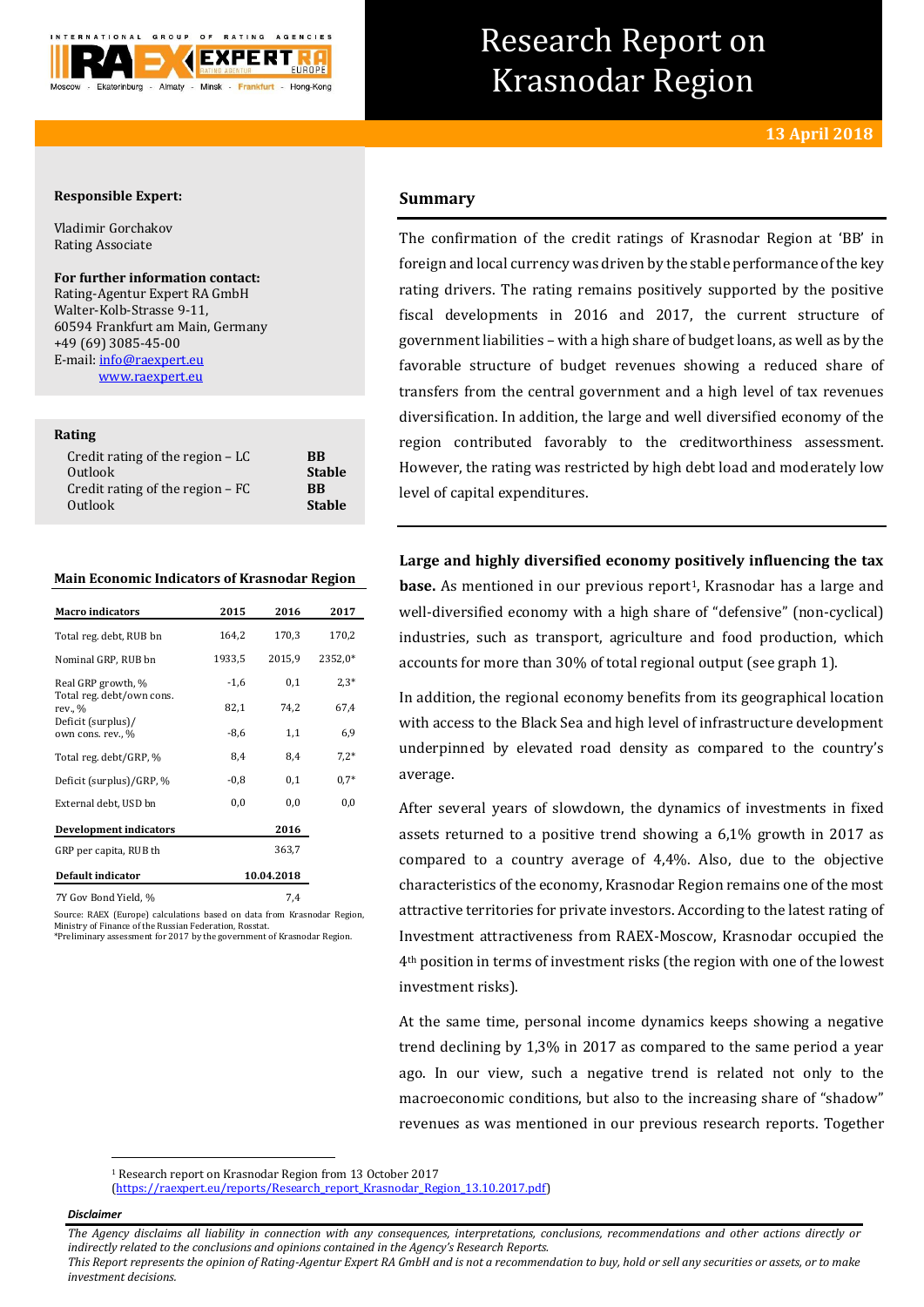

# Research Report on Krasnodar Region

# **13 April 2018**

## **Responsible Expert:**

Vladimir Gorchakov Rating Associate

## **For further information contact:**

Rating-Agentur Expert RA GmbH Walter-Kolb-Strasse 9-11, 60594 Frankfurt am Main, Germany +49 (69) 3085-45-00 E-mail[: info@raexpert.eu](mailto:info@raexpert.eu) [www.raexpert.eu](http://raexpert.eu/)

## **Rating**

## **Main Economic Indicators of Krasnodar Region**

| <b>Macro</b> indicators                 | 2015       | 2016   | 2017     |
|-----------------------------------------|------------|--------|----------|
| Total reg. debt, RUB bn                 | 164,2      | 170,3  | 170,2    |
| Nominal GRP, RUB bn                     | 1933,5     | 2015,9 | 2352,0*  |
| Real GRP growth, %                      | $-1,6$     | 0,1    | $2.3*$   |
| Total reg. debt/own cons.<br>rev., %    | 82,1       | 74,2   | 67,4     |
| Deficit (surplus)/<br>own cons. rev., % | $-8,6$     | 1,1    | 6,9      |
| Total reg. debt/GRP, %                  | 8,4        | 8,4    | $7,2*$   |
| Deficit (surplus)/GRP, %                | $-0.8$     | 0,1    | $0.7*$   |
| External debt, USD bn                   | 0,0        | 0,0    | $_{0,0}$ |
| <b>Development indicators</b>           |            | 2016   |          |
| GRP per capita, RUB th                  |            | 363,7  |          |
| Default indicator                       | 10.04.2018 |        |          |
| 7Y Gov Bond Yield, %                    |            | 7,4    |          |

Source: RAEX (Europe) calculations based on data from Krasnodar Region, Ministry of Finance of the Russian Federation, Rosstat. \*Preliminary assessment for 2017 by the government of Krasnodar Region.

## **Summary**

The confirmation of the credit ratings of Krasnodar Region at 'BB' in foreign and local currency was driven by the stable performance of the key rating drivers. The rating remains positively supported by the positive fiscal developments in 2016 and 2017, the current structure of government liabilities – with a high share of budget loans, as well as by the favorable structure of budget revenues showing a reduced share of transfers from the central government and a high level of tax revenues diversification. In addition, the large and well diversified economy of the region contributed favorably to the creditworthiness assessment. However, the rating was restricted by high debt load and moderately low level of capital expenditures.

**Large and highly diversified economy positively influencing the tax base.** As mentioned in our previous report<sup>1</sup>, Krasnodar has a large and well-diversified economy with a high share of "defensive" (non-cyclical) industries, such as transport, agriculture and food production, which accounts for more than 30% of total regional output (see graph 1).

In addition, the regional economy benefits from its geographical location with access to the Black Sea and high level of infrastructure development underpinned by elevated road density as compared to the country's average.

After several years of slowdown, the dynamics of investments in fixed assets returned to a positive trend showing a 6,1% growth in 2017 as compared to a country average of 4,4%. Also, due to the objective characteristics of the economy, Krasnodar Region remains one of the most attractive territories for private investors. According to the latest rating of Investment attractiveness from RAEX-Moscow, Krasnodar occupied the 4th position in terms of investment risks (the region with one of the lowest investment risks).

At the same time, personal income dynamics keeps showing a negative trend declining by 1,3% in 2017 as compared to the same period a year ago. In our view, such a negative trend is related not only to the macroeconomic conditions, but also to the increasing share of "shadow" revenues as was mentioned in our previous research reports. Together

[\(https://raexpert.eu/reports/Research\\_report\\_Krasnodar\\_Region\\_13.10.2017.pdf\)](https://raexpert.eu/reports/Research_report_Krasnodar_Region_13.10.2017.pdf)

#### *Disclaimer*

*The Agency disclaims all liability in connection with any consequences, interpretations, conclusions, recommendations and other actions directly or indirectly related to the conclusions and opinions contained in the Agency's Research Reports.*

*This Report represents the opinion of Rating-Agentur Expert RA GmbH and is not a recommendation to buy, hold or sell any securities or assets, or to make investment decisions.*

 $\overline{a}$ <sup>1</sup> Research report on Krasnodar Region from 13 October 2017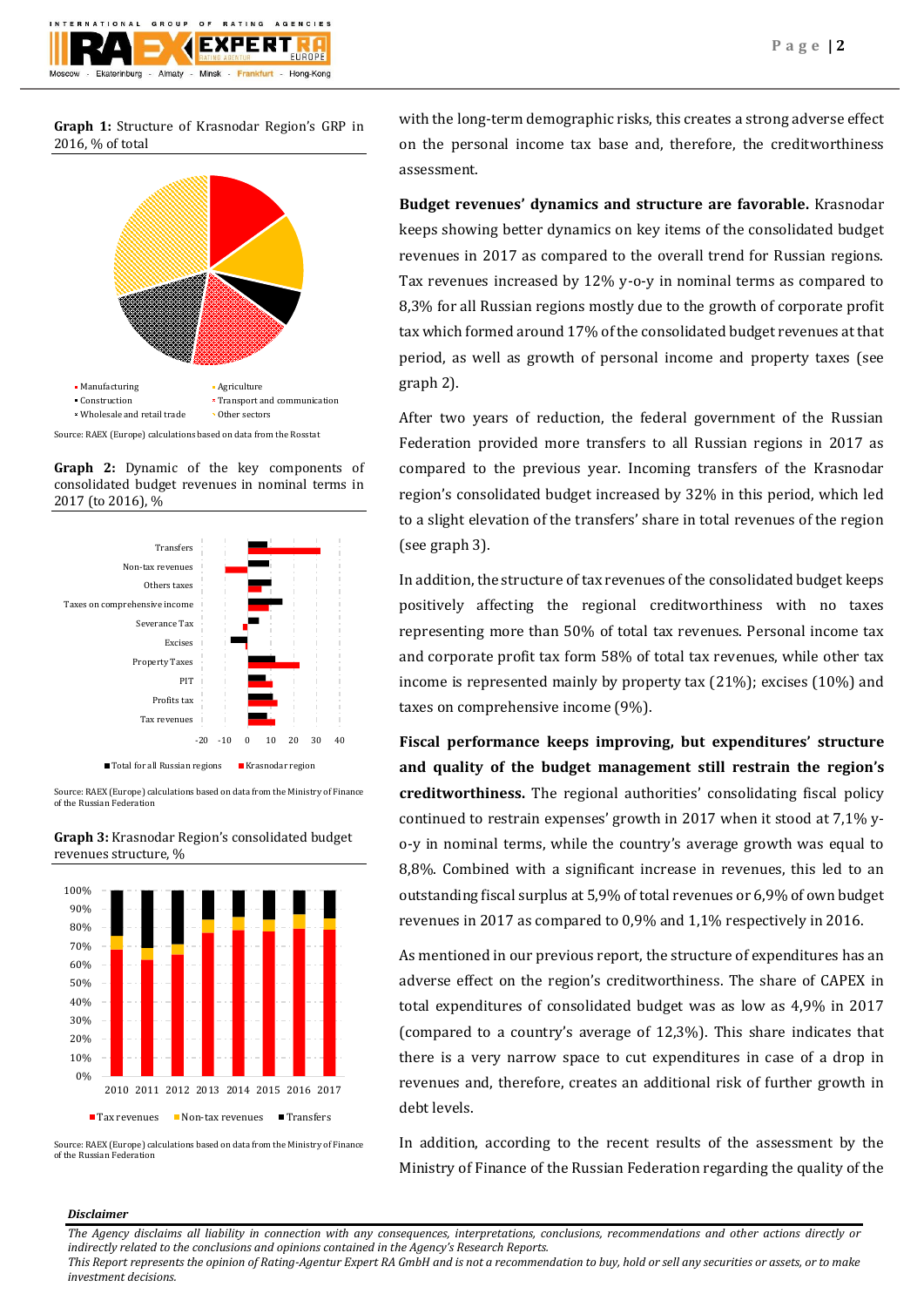

**Graph 1:** Structure of Krasnodar Region's GRP in 2016, % of total



Source: RAEX (Europe) calculations based on data from the Rosstat

**Graph 2:** Dynamic of the key components of consolidated budget revenues in nominal terms in 2017 (to 2016), %



Source: RAEX (Europe) calculations based on data from the Ministry of Finance of the Russian Federation



**Graph 3:** Krasnodar Region's consolidated budget revenues structure, %

Source: RAEX (Europe) calculations based on data from the Ministry of Finance of the Russian Federation

with the long-term demographic risks, this creates a strong adverse effect on the personal income tax base and, therefore, the creditworthiness assessment.

**Budget revenues' dynamics and structure are favorable.** Krasnodar keeps showing better dynamics on key items of the consolidated budget revenues in 2017 as compared to the overall trend for Russian regions. Tax revenues increased by 12% y-o-y in nominal terms as compared to 8,3% for all Russian regions mostly due to the growth of corporate profit tax which formed around 17% of the consolidated budget revenues at that period, as well as growth of personal income and property taxes (see graph 2).

After two years of reduction, the federal government of the Russian Federation provided more transfers to all Russian regions in 2017 as compared to the previous year. Incoming transfers of the Krasnodar region's consolidated budget increased by 32% in this period, which led to a slight elevation of the transfers' share in total revenues of the region (see graph 3).

In addition, the structure of tax revenues of the consolidated budget keeps positively affecting the regional creditworthiness with no taxes representing more than 50% of total tax revenues. Personal income tax and corporate profit tax form 58% of total tax revenues, while other tax income is represented mainly by property tax (21%); excises (10%) and taxes on comprehensive income (9%).

**Fiscal performance keeps improving, but expenditures' structure and quality of the budget management still restrain the region's creditworthiness.** The regional authorities' consolidating fiscal policy continued to restrain expenses' growth in 2017 when it stood at 7,1% yo-y in nominal terms, while the country's average growth was equal to 8,8%. Combined with a significant increase in revenues, this led to an outstanding fiscal surplus at 5,9% of total revenues or 6,9% of own budget revenues in 2017 as compared to 0,9% and 1,1% respectively in 2016.

As mentioned in our previous report, the structure of expenditures has an adverse effect on the region's creditworthiness. The share of CAPEX in total expenditures of consolidated budget was as low as 4,9% in 2017 (compared to a country's average of 12,3%). This share indicates that there is a very narrow space to cut expenditures in case of a drop in revenues and, therefore, creates an additional risk of further growth in debt levels.

In addition, according to the recent results of the assessment by the Ministry of Finance of the Russian Federation regarding the quality of the

## *Disclaimer*

*The Agency disclaims all liability in connection with any consequences, interpretations, conclusions, recommendations and other actions directly or indirectly related to the conclusions and opinions contained in the Agency's Research Reports.*

*This Report represents the opinion of Rating-Agentur Expert RA GmbH and is not a recommendation to buy, hold or sell any securities or assets, or to make investment decisions.*